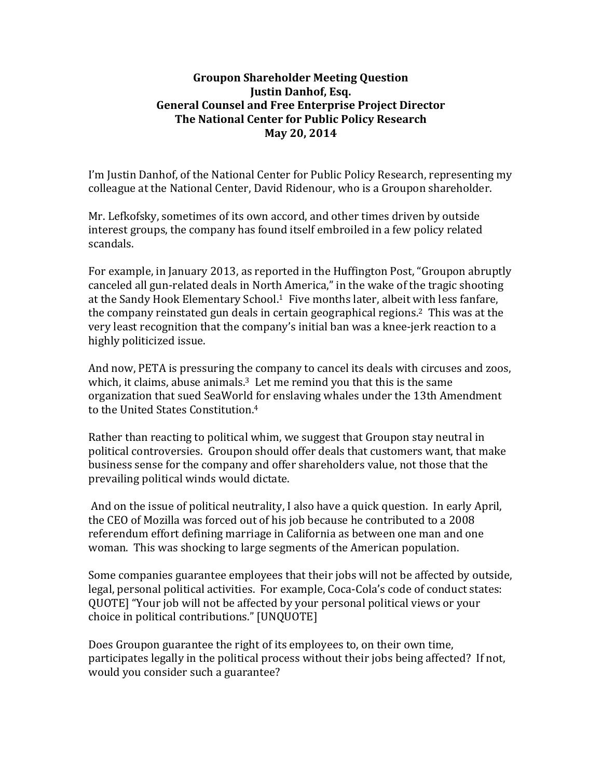## **Groupon Shareholder Meeting Question Justin Danhof, Esq. General Counsel and Free Enterprise Project Director The National Center for Public Policy Research May 20, 2014**

I'm Justin Danhof, of the National Center for Public Policy Research, representing my colleague at the National Center, David Ridenour, who is a Groupon shareholder.

Mr. Lefkofsky, sometimes of its own accord, and other times driven by outside interest groups, the company has found itself embroiled in a few policy related scandals. 

For example, in January 2013, as reported in the Huffington Post, "Groupon abruptly canceled all gun-related deals in North America," in the wake of the tragic shooting at the Sandy Hook Elementary School.<sup>1</sup> Five months later, albeit with less fanfare, the company reinstated gun deals in certain geographical regions.<sup>2</sup> This was at the very least recognition that the company's initial ban was a knee-jerk reaction to a highly politicized issue.

And now, PETA is pressuring the company to cancel its deals with circuses and zoos, which, it claims, abuse animals. $3$  Let me remind you that this is the same organization that sued SeaWorld for enslaving whales under the 13th Amendment to the United States Constitution.<sup>4</sup>

Rather than reacting to political whim, we suggest that Groupon stay neutral in political controversies. Groupon should offer deals that customers want, that make business sense for the company and offer shareholders value, not those that the prevailing political winds would dictate.

And on the issue of political neutrality, I also have a quick question. In early April, the CEO of Mozilla was forced out of his job because he contributed to a 2008 referendum effort defining marriage in California as between one man and one woman. This was shocking to large segments of the American population.

Some companies guarantee employees that their jobs will not be affected by outside, legal, personal political activities. For example, Coca-Cola's code of conduct states: QUOTE] "Your job will not be affected by your personal political views or your choice in political contributions." [UNQUOTE]

Does Groupon guarantee the right of its employees to, on their own time, participates legally in the political process without their jobs being affected? If not, would you consider such a guarantee?